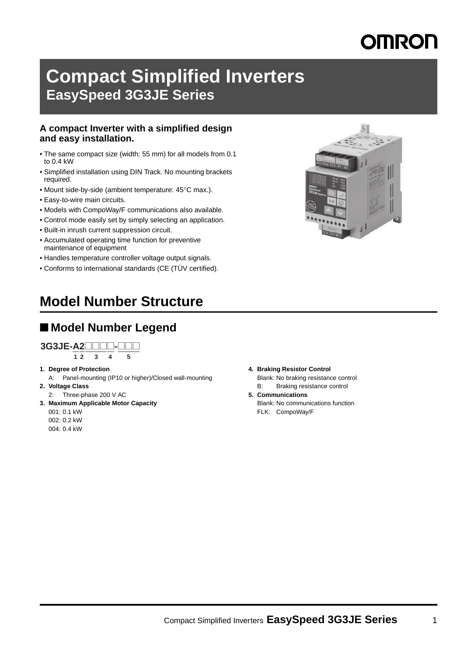# **Compact Simplified Inverters EasySpeed 3G3JE Series**

#### **A compact Inverter with a simplified design and easy installation.**

- The same compact size (width: 55 mm) for all models from 0.1 to 0.4 kW
- Simplified installation using DIN Track. No mounting brackets required.
- Mount side-by-side (ambient temperature: 45°C max.).
- Easy-to-wire main circuits.
- Models with CompoWay/F communications also available.
- Control mode easily set by simply selecting an application.
- Built-in inrush current suppression circuit.
- Accumulated operating time function for preventive maintenance of equipment
- Handles temperature controller voltage output signals.
- Conforms to international standards (CE (TÜV certified).

# **Model Number Structure**

### ■ **Model Number Legend**

**1 2 34 5 3G3JE-A2**@@@@**-**@@@

- **1. Degree of Protection**
- A: Panel-mounting (IP10 or higher)/Closed wall-mounting **2. Voltage Class**
- 2: Three-phase 200 V AC
- **3. Maximum Applicable Motor Capacity**

001: 0.1 kW 002: 0.2 kW

004: 0.4 kW

- **4. Braking Resistor Control**
	- Blank: No braking resistance control
	- B: Braking resistance control
- **5. Communications** Blank: No communications function FLK: CompoWay/F

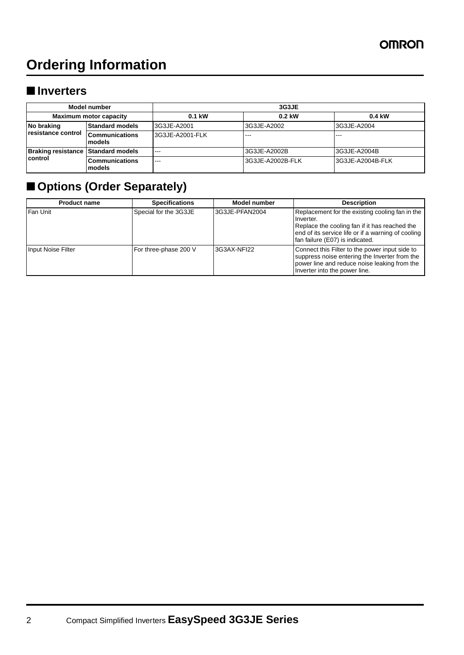# **Ordering Information**

### ■ **Inverters**

| Model number<br><b>Maximum motor capacity</b> |                                 | 3G3JE           |                  |                  |  |  |
|-----------------------------------------------|---------------------------------|-----------------|------------------|------------------|--|--|
|                                               |                                 | $0.1$ kW        | $0.2$ kW         | 0.4 kW           |  |  |
| No braking<br>resistance control              | <b>Standard models</b>          | 3G3JE-A2001     | 3G3JE-A2002      | 3G3JE-A2004      |  |  |
|                                               | <b>Communications</b><br>models | 3G3JE-A2001-FLK | $- - -$          |                  |  |  |
| Braking resistance Standard models            |                                 | $- - -$         | 3G3JE-A2002B     | 3G3JE-A2004B     |  |  |
| control                                       | <b>Communications</b><br>models | $- - -$         | 3G3JE-A2002B-FLK | 3G3JE-A2004B-FLK |  |  |

# ■ **Options (Order Separately)**

| <b>Product name</b> | <b>Specifications</b> | Model number   | <b>Description</b>                                                                                                                                                                                     |
|---------------------|-----------------------|----------------|--------------------------------------------------------------------------------------------------------------------------------------------------------------------------------------------------------|
| Fan Unit            | Special for the 3G3JE | 3G3JE-PFAN2004 | Replacement for the existing cooling fan in the<br>Inverter.<br>Replace the cooling fan if it has reached the<br>end of its service life or if a warning of cooling<br>fan failure (E07) is indicated. |
| Input Noise Filter  | For three-phase 200 V | 3G3AX-NFI22    | Connect this Filter to the power input side to<br>suppress noise entering the Inverter from the<br>power line and reduce noise leaking from the<br>Inverter into the power line.                       |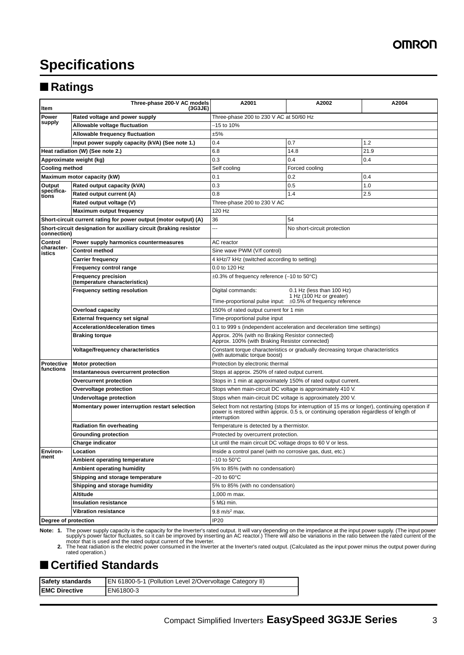# **Specifications**

### ■ **Ratings**

| Item                  | Three-phase 200-V AC models<br>(3G3JE)                            | A2001                                                                                                           | A2002                                                                                                                                                                                      | A2004 |  |  |
|-----------------------|-------------------------------------------------------------------|-----------------------------------------------------------------------------------------------------------------|--------------------------------------------------------------------------------------------------------------------------------------------------------------------------------------------|-------|--|--|
| Power                 | Rated voltage and power supply                                    | Three-phase 200 to 230 V AC at 50/60 Hz                                                                         |                                                                                                                                                                                            |       |  |  |
| supply                | Allowable voltage fluctuation                                     | $-15$ to 10%                                                                                                    |                                                                                                                                                                                            |       |  |  |
|                       | Allowable frequency fluctuation                                   | ±5%                                                                                                             |                                                                                                                                                                                            |       |  |  |
|                       | Input power supply capacity (kVA) (See note 1.)                   | 0.4                                                                                                             | 0.7                                                                                                                                                                                        | 1.2   |  |  |
|                       | Heat radiation (W) (See note 2.)                                  | 6.8                                                                                                             | 14.8                                                                                                                                                                                       | 21.9  |  |  |
|                       | Approximate weight (kg)                                           | 0.3                                                                                                             | 0.4                                                                                                                                                                                        | 0.4   |  |  |
| <b>Cooling method</b> |                                                                   | Self cooling<br>Forced cooling                                                                                  |                                                                                                                                                                                            |       |  |  |
|                       | Maximum motor capacity (kW)                                       | 0.1                                                                                                             | 0.2                                                                                                                                                                                        | 0.4   |  |  |
| Output                | Rated output capacity (kVA)                                       | 0.3                                                                                                             | 0.5                                                                                                                                                                                        | 1.0   |  |  |
| specifica-<br>tions   | Rated output current (A)                                          | 0.8                                                                                                             | 1.4                                                                                                                                                                                        | 2.5   |  |  |
|                       | Rated output voltage (V)                                          | Three-phase 200 to 230 V AC                                                                                     |                                                                                                                                                                                            |       |  |  |
|                       | <b>Maximum output frequency</b>                                   | 120 Hz                                                                                                          |                                                                                                                                                                                            |       |  |  |
|                       | Short-circuit current rating for power output (motor output) (A)  | 36<br>54                                                                                                        |                                                                                                                                                                                            |       |  |  |
| connection)           | Short-circuit designation for auxiliary circuit (braking resistor |                                                                                                                 | No short-circuit protection                                                                                                                                                                |       |  |  |
| Control               | Power supply harmonics countermeasures                            | AC reactor                                                                                                      |                                                                                                                                                                                            |       |  |  |
| character-<br>istics  | <b>Control method</b>                                             | Sine wave PWM (V/f control)                                                                                     |                                                                                                                                                                                            |       |  |  |
|                       | <b>Carrier frequency</b>                                          | 4 kHz/7 kHz (switched according to setting)                                                                     |                                                                                                                                                                                            |       |  |  |
|                       | Frequency control range                                           | 0.0 to 120 Hz                                                                                                   |                                                                                                                                                                                            |       |  |  |
|                       | <b>Frequency precision</b><br>(temperature characteristics)       | $\pm 0.3\%$ of frequency reference (-10 to 50 $\degree$ C)                                                      |                                                                                                                                                                                            |       |  |  |
|                       | <b>Frequency setting resolution</b>                               | Digital commands:                                                                                               | 0.1 Hz (less than 100 Hz)                                                                                                                                                                  |       |  |  |
|                       |                                                                   |                                                                                                                 | 1 Hz (100 Hz or greater)<br>Time-proportional pulse input: $\pm 0.5\%$ of frequency reference                                                                                              |       |  |  |
|                       | <b>Overload capacity</b>                                          | 150% of rated output current for 1 min                                                                          |                                                                                                                                                                                            |       |  |  |
|                       | <b>External frequency set signal</b>                              | Time-proportional pulse input                                                                                   |                                                                                                                                                                                            |       |  |  |
|                       | Acceleration/deceleration times                                   | 0.1 to 999 s (independent acceleration and deceleration time settings)                                          |                                                                                                                                                                                            |       |  |  |
|                       | <b>Braking torque</b>                                             | Approx. 20% (with no Braking Resistor connected)<br>Approx. 100% (with Braking Resistor connected)              |                                                                                                                                                                                            |       |  |  |
|                       | Voltage/frequency characteristics                                 | Constant torque characteristics or gradually decreasing torque characteristics<br>(with automatic torque boost) |                                                                                                                                                                                            |       |  |  |
| <b>Protective</b>     | <b>Motor protection</b>                                           | Protection by electronic thermal                                                                                |                                                                                                                                                                                            |       |  |  |
| functions             | Instantaneous overcurrent protection                              | Stops at approx. 250% of rated output current.                                                                  |                                                                                                                                                                                            |       |  |  |
|                       | Overcurrent protection                                            |                                                                                                                 | Stops in 1 min at approximately 150% of rated output current.                                                                                                                              |       |  |  |
|                       | Overvoltage protection                                            | Stops when main-circuit DC voltage is approximately 410 V.                                                      |                                                                                                                                                                                            |       |  |  |
|                       | Undervoltage protection                                           | Stops when main-circuit DC voltage is approximately 200 V.                                                      |                                                                                                                                                                                            |       |  |  |
|                       | Momentary power interruption restart selection                    | interruption                                                                                                    | Select from not restarting (stops for interruption of 15 ms or longer), continuing operation if<br>power is restored within approx. 0.5 s, or continuing operation regardless of length of |       |  |  |
|                       | <b>Radiation fin overheating</b>                                  | Temperature is detected by a thermistor.                                                                        |                                                                                                                                                                                            |       |  |  |
|                       | <b>Grounding protection</b>                                       | Protected by overcurrent protection.                                                                            |                                                                                                                                                                                            |       |  |  |
|                       | <b>Charge indicator</b>                                           | Lit until the main circuit DC voltage drops to 60 V or less.                                                    |                                                                                                                                                                                            |       |  |  |
| Environ-              | Location                                                          | Inside a control panel (with no corrosive gas, dust, etc.)                                                      |                                                                                                                                                                                            |       |  |  |
| ment                  | Ambient operating temperature                                     | $-10$ to $50^{\circ}$ C                                                                                         |                                                                                                                                                                                            |       |  |  |
|                       | Ambient operating humidity                                        | 5% to 85% (with no condensation)                                                                                |                                                                                                                                                                                            |       |  |  |
|                       | Shipping and storage temperature                                  | $-20$ to $60^{\circ}$ C                                                                                         |                                                                                                                                                                                            |       |  |  |
|                       | Shipping and storage humidity                                     | 5% to 85% (with no condensation)                                                                                |                                                                                                                                                                                            |       |  |  |
|                       | Altitude                                                          | 1,000 m max.                                                                                                    |                                                                                                                                                                                            |       |  |  |
|                       | <b>Insulation resistance</b>                                      | 5 M $\Omega$ min.                                                                                               |                                                                                                                                                                                            |       |  |  |
|                       | <b>Vibration resistance</b>                                       | 9.8 m/s <sup>2</sup> max.                                                                                       |                                                                                                                                                                                            |       |  |  |
| Degree of protection  |                                                                   | IP20                                                                                                            |                                                                                                                                                                                            |       |  |  |

Note: 1. The power supply capacity is the capacity for the Inverter's rated output. It will vary depending on the impedance at the input power supply. (The input power supply's power factor fluctuates, so it can be improve

## ■ Certified Standards

| <b>Safety standards</b> | <b>EN 61800-5-1 (Pollution Level 2/Overvoltage Category II)</b> |
|-------------------------|-----------------------------------------------------------------|
| <b>IEMC Directive</b>   | EN61800-3                                                       |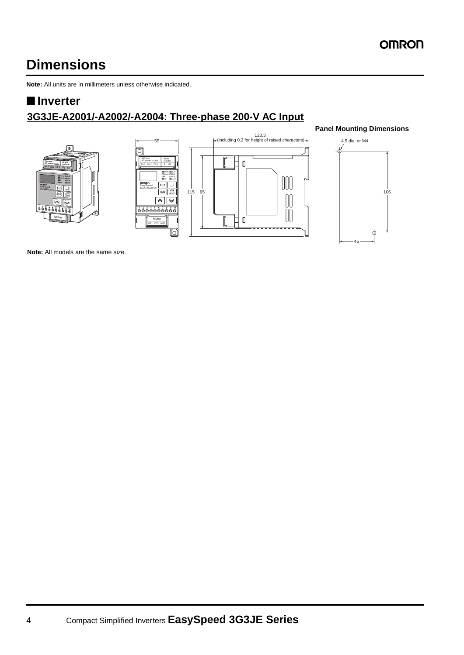# **Dimensions**

**Note:** All units are in millimeters unless otherwise indicated.

### ■ **Inverter**

## **3G3JE-A2001/-A2002/-A2004: Three-phase 200-V AC Input**







#### **Panel Mounting Dimensions**



**Note:** All models are the same size.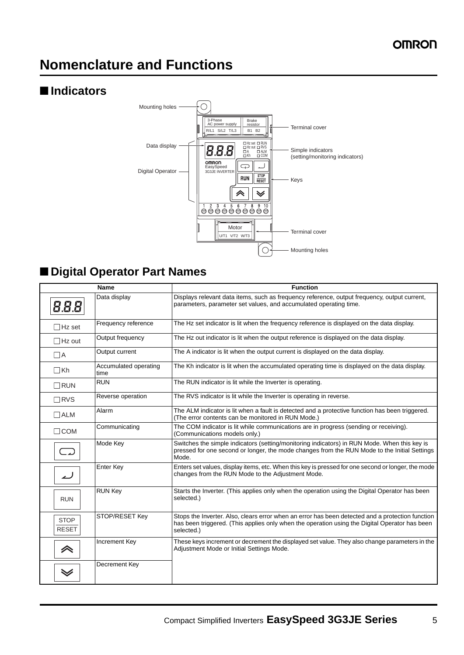# **Nomenclature and Functions**

### ■ **Indicators**



# ■ **Digital Operator Part Names**

|                             | <b>Name</b>                   | <b>Function</b>                                                                                                                                                                                                 |
|-----------------------------|-------------------------------|-----------------------------------------------------------------------------------------------------------------------------------------------------------------------------------------------------------------|
| 8.8.8                       | Data display                  | Displays relevant data items, such as frequency reference, output frequency, output current,<br>parameters, parameter set values, and accumulated operating time.                                               |
| $\Box$ Hz set               | Frequency reference           | The Hz set indicator is lit when the frequency reference is displayed on the data display.                                                                                                                      |
| $\Box$ Hz out               | Output frequency              | The Hz out indicator is lit when the output reference is displayed on the data display.                                                                                                                         |
| $\Box$ A                    | Output current                | The A indicator is lit when the output current is displayed on the data display.                                                                                                                                |
| $\Box$ Kh                   | Accumulated operating<br>time | The Kh indicator is lit when the accumulated operating time is displayed on the data display.                                                                                                                   |
| $\Box$ Run                  | <b>RUN</b>                    | The RUN indicator is lit while the Inverter is operating.                                                                                                                                                       |
| $\Box$ RVS                  | Reverse operation             | The RVS indicator is lit while the Inverter is operating in reverse.                                                                                                                                            |
| $\Box$ ALM                  | Alarm                         | The ALM indicator is lit when a fault is detected and a protective function has been triggered.<br>(The error contents can be monitored in RUN Mode.)                                                           |
| $\Box$ COM                  | Communicating                 | The COM indicator is lit while communications are in progress (sending or receiving).<br>(Communications models only.)                                                                                          |
|                             | Mode Key                      | Switches the simple indicators (setting/monitoring indicators) in RUN Mode. When this key is<br>pressed for one second or longer, the mode changes from the RUN Mode to the Initial Settings<br>Mode.           |
| ل                           | <b>Enter Key</b>              | Enters set values, display items, etc. When this key is pressed for one second or longer, the mode<br>changes from the RUN Mode to the Adjustment Mode.                                                         |
| <b>RUN</b>                  | <b>RUN Key</b>                | Starts the Inverter. (This applies only when the operation using the Digital Operator has been<br>selected.)                                                                                                    |
| <b>STOP</b><br><b>RESET</b> | STOP/RESET Key                | Stops the Inverter. Also, clears error when an error has been detected and a protection function<br>has been triggered. (This applies only when the operation using the Digital Operator has been<br>selected.) |
| 《                           | <b>Increment Key</b>          | These keys increment or decrement the displayed set value. They also change parameters in the<br>Adjustment Mode or Initial Settings Mode.                                                                      |
| $\checkmark$                | Decrement Key                 |                                                                                                                                                                                                                 |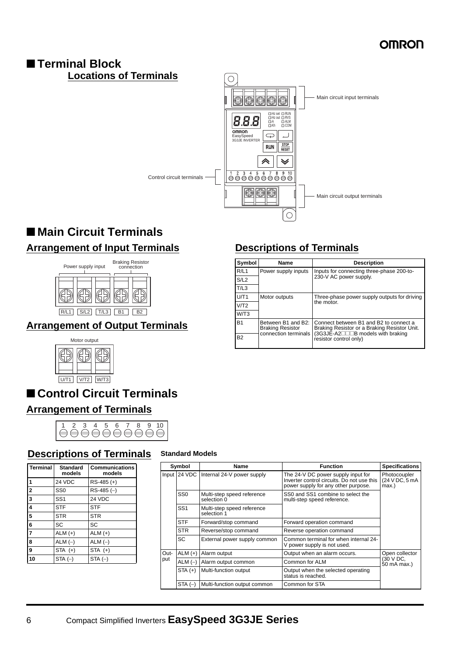#### ■ **Terminal Block Locations of Terminals**  $\circ$ Main circuit input terminals 00000 Hz set Hz out A Kh RUN RVS ALM COM 8.8.8  $\overline{\mathcal{C}}$  $\Box$ EasySpeed 3G3JE INVERTER  $\frac{\text{STOP}}{\text{RESET}}$ **RUN** <mark></mark>  $\checkmark$ Control circuit terminals  $\circledcirc$ Main circuit output terminals

# ■ Main Circuit Terminals **Arrangement of Input Terminals**



### **Arrangement of Output Terminals**



# ■ **Control Circuit Terminals**

### **Arrangement of Terminals**



### **Descriptions of Terminals Standard Models**

| <b>Terminal</b>         | <b>Standard</b><br>models | <b>Communications</b><br>models |
|-------------------------|---------------------------|---------------------------------|
| 1                       | 24 VDC                    | $RS-485 (+)$                    |
| $\overline{2}$          | SS <sub>0</sub>           | $RS-485(-)$                     |
| $\overline{\mathbf{3}}$ | SS <sub>1</sub>           | 24 VDC                          |
| $\overline{4}$          | <b>STF</b>                | <b>STF</b>                      |
| $\overline{5}$          | <b>STR</b>                | <b>STR</b>                      |
| 6                       | SC                        | SC                              |
|                         | $ALM (+)$                 | $ALM (+)$                       |
| 8                       | $ALM(-)$                  | $ALM(-)$                        |
| 9                       | $STA (+)$                 | $STA (+)$                       |
| 10                      | $STA(-)$                  | $STA(-)$                        |

|      | Symbol          | <b>Name</b>                               | <b>Function</b>                                                                                                         | <b>Specifications</b>                   |  |
|------|-----------------|-------------------------------------------|-------------------------------------------------------------------------------------------------------------------------|-----------------------------------------|--|
|      |                 | Input 24 VDC Internal 24-V power supply   | The 24-V DC power supply input for<br>Inverter control circuits. Do not use this<br>power supply for any other purpose. | Photocoupler<br>(24 V DC, 5 mA<br>max.) |  |
|      | SS <sub>0</sub> | Multi-step speed reference<br>selection 0 | SS0 and SS1 combine to select the<br>multi-step speed reference.                                                        |                                         |  |
|      | SS <sub>1</sub> | Multi-step speed reference<br>selection 1 |                                                                                                                         |                                         |  |
|      | <b>STF</b>      | Forward/stop command                      | Forward operation command                                                                                               |                                         |  |
|      | <b>STR</b>      | Reverse/stop command                      | Reverse operation command                                                                                               |                                         |  |
|      | SC              | External power supply common              | Common terminal for when internal 24-<br>V power supply is not used.                                                    |                                         |  |
| Out- | $ALM (+)$       | Alarm output                              | Output when an alarm occurs.                                                                                            | Open collector                          |  |
| put  | $ALM$ (-)       | Alarm output common                       | Common for ALM                                                                                                          | (30 V DC,<br>50 mA max.)                |  |
|      | $STA (+)$       | Multi-function output                     | Output when the selected operating<br>status is reached.                                                                |                                         |  |
|      | $STA(-)$        | Multi-function output common              | Common for STA                                                                                                          |                                         |  |

### **Descriptions of Terminals**

Ó

| Symbol    | Name                                                                  | <b>Description</b>                                                                                                         |
|-----------|-----------------------------------------------------------------------|----------------------------------------------------------------------------------------------------------------------------|
| R/L1      | Power supply inputs                                                   | Inputs for connecting three-phase 200-to-                                                                                  |
| S/L2      |                                                                       | 230-V AC power supply.                                                                                                     |
| T/L3      |                                                                       |                                                                                                                            |
| U/T1      | Motor outputs                                                         | Three-phase power supply outputs for driving                                                                               |
| V/T2      |                                                                       | the motor.                                                                                                                 |
| W/T3      |                                                                       |                                                                                                                            |
| <b>B1</b> | Between B1 and B2:<br><b>Braking Resistor</b><br>connection terminals | Connect between B1 and B2 to connect a<br>Braking Resistor or a Braking Resistor Unit.<br>(3G3JE-A2□□B models with braking |
| <b>B2</b> |                                                                       | resistor control only)                                                                                                     |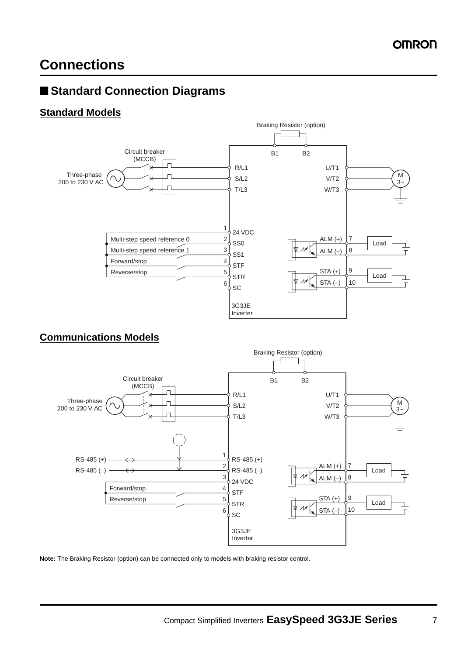# **Connections**

## ■ **Standard Connection Diagrams**

#### **Standard Models**



#### **Communications Models**



**Note:** The Braking Resistor (option) can be connected only to models with braking resistor control.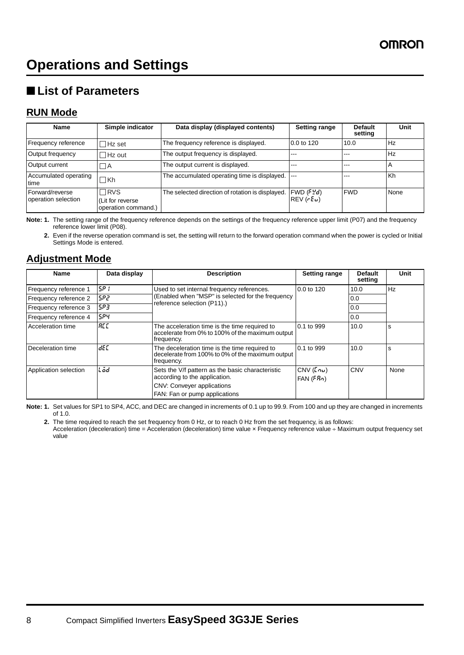# ■ **List of Parameters**

#### **RUN Mode**

| <b>Name</b>                            | Simple indicator                                     | Data display (displayed contents)                | <b>Setting range</b>         | <b>Default</b><br>setting | Unit           |
|----------------------------------------|------------------------------------------------------|--------------------------------------------------|------------------------------|---------------------------|----------------|
| Frequency reference                    | $\Box$ Hz set                                        | The frequency reference is displayed.            | 0.0 to 120                   | 10.0                      | Hz             |
| Output frequency                       | $\Box$ Hz out                                        | The output frequency is displayed.               | ---                          | ---                       | <b>Hz</b>      |
| Output current                         | - I A                                                | The output current is displayed.                 | ---                          | ---                       | $\overline{a}$ |
| Accumulated operating<br>time          | ∏Kh                                                  | The accumulated operating time is displayed.     |                              | ---                       | l Kh           |
| Forward/reverse<br>operation selection | $\Box$ RVS<br>Lit for reverse<br>operation command.) | The selected direction of rotation is displayed. | FWD (FYd)<br>$REV$ ( $rEu$ ) | <b>IFWD</b>               | None           |

**Note: 1.** The setting range of the frequency reference depends on the settings of the frequency reference upper limit (P07) and the frequency reference lower limit (P08).

**2.** Even if the reverse operation command is set, the setting will return to the forward operation command when the power is cycled or Initial Settings Mode is entered.

### **Adjustment Mode**

| <b>Name</b>           | Data display | <b>Description</b>                                                                                                                                      | <b>Setting range</b>        | <b>Default</b><br>setting | Unit |
|-----------------------|--------------|---------------------------------------------------------------------------------------------------------------------------------------------------------|-----------------------------|---------------------------|------|
| Frequency reference 1 | ISP 1        | Used to set internal frequency references.                                                                                                              | 0.0 to 120                  | 10.0                      | Hz   |
| Frequency reference 2 | 5P2          | (Enabled when "MSP" is selected for the frequency<br>reference selection (P11).)                                                                        |                             | 0.0                       |      |
| Frequency reference 3 | 5P3          |                                                                                                                                                         |                             | 0.0                       |      |
| Frequency reference 4 | 5P4          |                                                                                                                                                         |                             | 0.0                       |      |
| Acceleration time     | REE          | The acceleration time is the time required to<br>accelerate from 0% to 100% of the maximum output<br>frequency.                                         | 0.1 to 999                  | 10.0                      | s    |
| Deceleration time     | <b>dEC</b>   | The deceleration time is the time required to<br>decelerate from 100% to 0% of the maximum output<br>frequency.                                         | 0.1 to 999                  | 10.0                      | s    |
| Application selection | Löd          | Sets the V/f pattern as the basic characteristic<br>according to the application.<br><b>CNV: Conveyer applications</b><br>FAN: Fan or pump applications | CNV(Lnu)<br>$FAN$ ( $FRn$ ) | <b>CNV</b>                | None |

**Note: 1.** Set values for SP1 to SP4, ACC, and DEC are changed in increments of 0.1 up to 99.9. From 100 and up they are changed in increments of 1.0.

**2.** The time required to reach the set frequency from 0 Hz, or to reach 0 Hz from the set frequency, is as follows: Acceleration (deceleration) time = Acceleration (deceleration) time value × Frequency reference value ÷ Maximum output frequency set value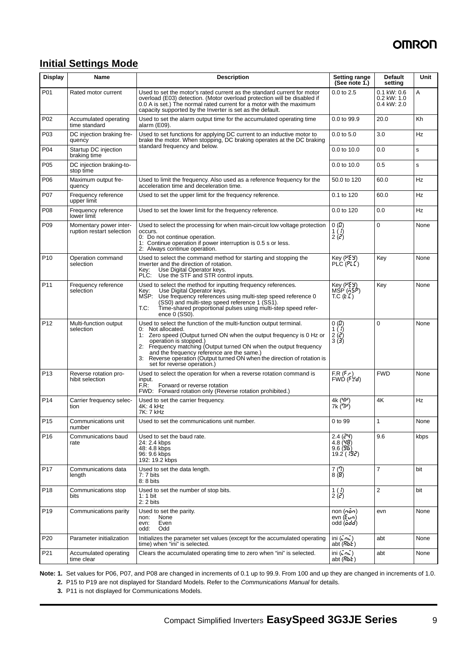### **Initial Settings Mode**

| <b>Display</b>  | <b>Name</b>                                         | <b>Description</b>                                                                                                                                                                                                                                                                                                                                                                                                      | <b>Setting range</b><br>(See note 1.)                                     | <b>Default</b><br>setting                       | Unit      |
|-----------------|-----------------------------------------------------|-------------------------------------------------------------------------------------------------------------------------------------------------------------------------------------------------------------------------------------------------------------------------------------------------------------------------------------------------------------------------------------------------------------------------|---------------------------------------------------------------------------|-------------------------------------------------|-----------|
| P01             | Rated motor current                                 | Used to set the motor's rated current as the standard current for motor<br>overload (E03) detection. (Motor overload protection will be disabled if<br>0.0 A is set.) The normal rated current for a motor with the maximum<br>capacity supported by the Inverter is set as the default.                                                                                                                                | $0.0$ to $2.5$                                                            | $0.1$ kW: $0.6$<br>$0.2$ kW: 1.0<br>0.4 kW: 2.0 | A         |
| P <sub>02</sub> | Accumulated operating<br>time standard              | Used to set the alarm output time for the accumulated operating time<br>alarm (E09).                                                                                                                                                                                                                                                                                                                                    | 0.0 to 99.9                                                               | 20.0                                            | Kh        |
| P03             | DC injection braking fre-<br>quency                 | Used to set functions for applying DC current to an inductive motor to<br>brake the motor. When stopping, DC braking operates at the DC braking                                                                                                                                                                                                                                                                         | $0.0$ to $5.0$                                                            | 3.0                                             | Hz        |
| P04             | Startup DC injection<br>braking time                | standard frequency and below.                                                                                                                                                                                                                                                                                                                                                                                           | 0.0 to 10.0                                                               | 0.0                                             | s         |
| P05             | DC injection braking-to-<br>stop time               |                                                                                                                                                                                                                                                                                                                                                                                                                         | 0.0 to 10.0                                                               | 0.5                                             | s         |
| P06             | Maximum output fre-<br>quency                       | Used to limit the frequency. Also used as a reference frequency for the<br>acceleration time and deceleration time.                                                                                                                                                                                                                                                                                                     | 50.0 to 120                                                               | 60.0                                            | Hz        |
| P07             | Frequency reference<br>upper limit                  | Used to set the upper limit for the frequency reference.                                                                                                                                                                                                                                                                                                                                                                | 0.1 to 120                                                                | 60.0                                            | <b>Hz</b> |
| P08             | Frequency reference<br>lower limit                  | Used to set the lower limit for the frequency reference.                                                                                                                                                                                                                                                                                                                                                                | 0.0 to 120                                                                | 0.0                                             | Hz        |
| P <sub>09</sub> | Momentary power inter-<br>ruption restart selection | Used to select the processing for when main-circuit low voltage protection<br>occurs.<br>0: Do not continue operation.<br>1: Continue operation if power interruption is 0.5 s or less.<br>2: Always continue operation.                                                                                                                                                                                                | 0(2)<br>$\frac{1}{2} \binom{7}{6}$                                        | $\Omega$                                        | None      |
| P <sub>10</sub> | Operation command<br>selection                      | Used to select the command method for starting and stopping the<br>Inverter and the direction of rotation.<br>Use Digital Operator keys.<br>Key:<br>PLC:<br>Use the STF and STR control inputs.                                                                                                                                                                                                                         | Key $(PE3)$<br>$PLC$ $(PLC)$                                              | Key                                             | None      |
| P <sub>11</sub> | Frequency reference<br>selection                    | Used to select the method for inputting frequency references.<br>Use Digital Operator keys.<br>Kev:<br>Use frequency references using multi-step speed reference 0<br>MSP:<br>(SS0) and multi-step speed reference 1 (SS1).<br>T.C:<br>Time-shared proportional pulses using multi-step speed refer-<br>ence 0 (SS0).                                                                                                   | Key $(FEY)$<br>MŚP (55P)<br>TC(EL)                                        | Key                                             | None      |
| P <sub>12</sub> | Multi-function output<br>selection                  | Used to select the function of the multi-function output terminal.<br>0: Not allocated.<br>1: Zero speed (Output turned ON when the output frequency is 0 Hz or<br>operation is stopped.)<br>2: Frequency matching (Output turned ON when the output frequency<br>and the frequency reference are the same.)<br>3: Reverse operation (Output turned ON when the direction of rotation is<br>set for reverse operation.) | 0(0)<br>$\begin{pmatrix} 1 \\ 2 \\ 3 \end{pmatrix}$<br>$3(\mathbf{3})$    | $\Omega$                                        | None      |
| P <sub>13</sub> | Reverse rotation pro-<br>hibit selection            | Used to select the operation for when a reverse rotation command is<br>input.<br>F.R:<br>Forward or reverse rotation<br>FWD: Forward rotation only (Reverse rotation prohibited.)                                                                                                                                                                                                                                       | FR(F, r)<br>FWD(FYd)                                                      | <b>FWD</b>                                      | None      |
| P <sub>14</sub> | Carrier frequency selec-<br>tion                    | Used to set the carrier frequency.<br>4K: 4 kHz<br>7K: 7 kHz                                                                                                                                                                                                                                                                                                                                                            | 4k (YP)<br>7k ('ም)                                                        | 4K                                              | <b>Hz</b> |
| P <sub>15</sub> | Communications unit<br>number                       | Used to set the communications unit number.                                                                                                                                                                                                                                                                                                                                                                             | 0 to 99                                                                   | $\mathbf{1}$                                    | None      |
| P <sub>16</sub> | Communications baud<br>rate                         | Used to set the baud rate.<br>24: 2.4 kbps<br>48: 4.8 kbps<br>96: 9.6 kbps<br>192: 19.2 kbps                                                                                                                                                                                                                                                                                                                            | 2.4 (24)<br>4.8(48)<br>9.6(95)<br>19.2(19.2)                              | 9.6                                             | kbps      |
| P17             | Communications data<br>length                       | Used to set the data length.<br>$7:7$ bits<br>8: 8 bits                                                                                                                                                                                                                                                                                                                                                                 | $\begin{array}{c} 7 \ (7) \\ 8 \ (B) \end{array}$                         | $\overline{7}$                                  | bit       |
| P <sub>18</sub> | Communications stop<br>bits                         | Used to set the number of stop bits.<br>$1:1$ bit<br>$2:2$ bits                                                                                                                                                                                                                                                                                                                                                         | $\begin{pmatrix} 1 \\ 2 \end{pmatrix}$                                    | $\overline{2}$                                  | bit       |
| P <sub>19</sub> | Communications parity                               | Used to set the parity.<br>non:<br>None<br>Even<br>evn:<br>odd:<br>Odd                                                                                                                                                                                                                                                                                                                                                  | non $(n\bar{a}n)$<br>evn $(E_{un})$<br>odd (add)                          | evn                                             | None      |
| P20             | Parameter initialization                            | Initializes the parameter set values (except for the accumulated operating<br>time) when "ini" is selected.                                                                                                                                                                                                                                                                                                             | $\overline{\mathsf{ini}}(\overline{\mathsf{c}}\mathsf{m})$<br>abt $(RbE)$ | abt                                             | None      |
| P21             | Accumulated operating<br>time clear                 | Clears the accumulated operating time to zero when "ini" is selected.                                                                                                                                                                                                                                                                                                                                                   | $\overline{\mathsf{ini}}(\overline{\mathsf{ini}})$<br>abt $(RbE)$         | abt                                             | None      |

**Note: 1.** Set values for P06, P07, and P08 are changed in increments of 0.1 up to 99.9. From 100 and up they are changed in increments of 1.0. **2.** P15 to P19 are not displayed for Standard Models. Refer to the *Communications Manual* for details.

**3.** P11 is not displayed for Communications Models.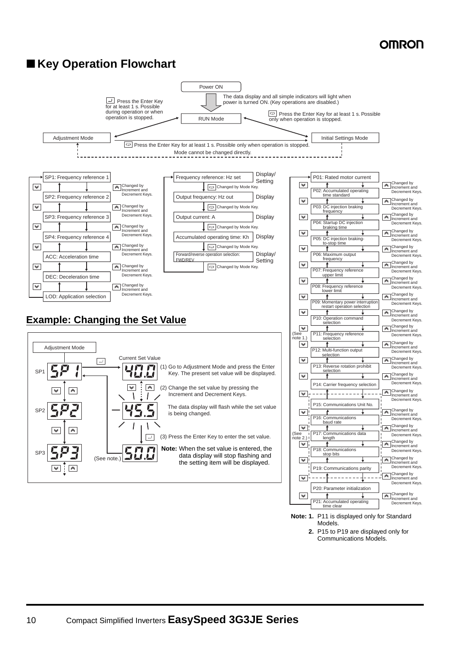### ■ Key Operation Flowchart



**2.** P15 to P19 are displayed only for Communications Models.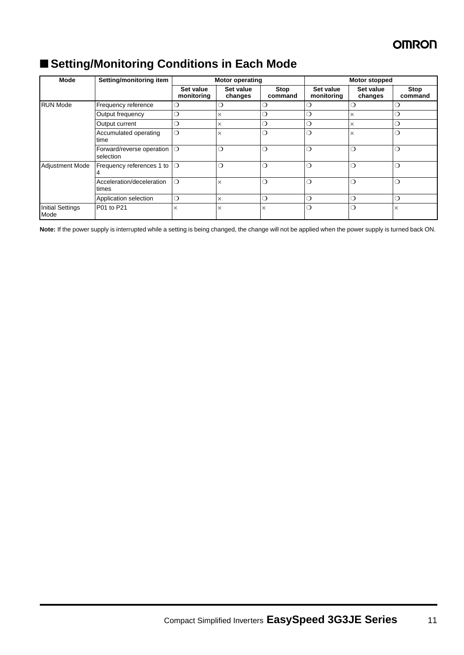**Stop command**

| Mode            | Setting/monitoring item                |                         | <b>Motor operating</b> |                 |                         | <b>Motor stopped</b> |   |  |
|-----------------|----------------------------------------|-------------------------|------------------------|-----------------|-------------------------|----------------------|---|--|
|                 |                                        | Set value<br>monitoring | Set value<br>changes   | Stop<br>command | Set value<br>monitoring | Set value<br>changes |   |  |
| <b>RUN Mode</b> | Frequency reference                    | 0                       | ◯                      | ( )             | ∩                       | . .                  | C |  |
|                 | Output frequency                       | ◯                       | ×                      | ◯               | ◯                       |                      | C |  |
|                 | Output current                         | $\circ$                 | ×                      | $\circ$         | $\circ$                 | ×                    | O |  |
|                 | Accumulated operating<br>time          | $\bigcirc$              | $\times$               | $\bigcirc$      | $\bigcirc$              |                      | O |  |
|                 | Forward/reverse operation<br>selection | $\Omega$                | $\bigcirc$             | ◯               | $\bigcirc$              | ◯                    | a |  |
| Adjustment Mode | Frequency references 1 to              | $\circ$                 | ◯                      | ◯               | $\bigcirc$              | ◯                    | О |  |
|                 | Acceleration/deceleration<br>times     | $\circ$                 | $\times$               | ◯               | $\bigcirc$              | ∩                    | C |  |
|                 | Application selection                  | $\circ$                 | ×                      | ◯               | $\bigcirc$              | ∩                    | O |  |

## ■ **Setting/Monitoring Conditions in Each Mode**

Initial Settings Mode

**Note:** If the power supply is interrupted while a setting is being changed, the change will not be applied when the power supply is turned back ON.

P01 to P21  $\times$   $\times$   $\times$   $\times$   $\times$   $\circ$   $\circ$   $\circ$   $\cdot$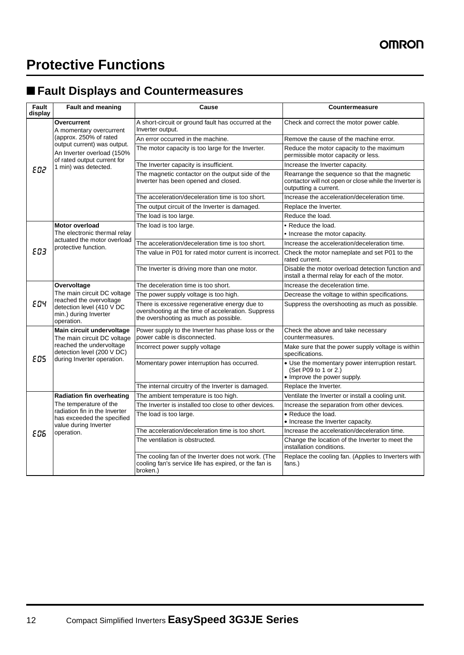# **Protective Functions**

## ■ **Fault Displays and Countermeasures**

| Fault<br>display | <b>Fault and meaning</b>                                                                                                                                                             | Cause                                                                                                                                        | Countermeasure                                                                                                                 |
|------------------|--------------------------------------------------------------------------------------------------------------------------------------------------------------------------------------|----------------------------------------------------------------------------------------------------------------------------------------------|--------------------------------------------------------------------------------------------------------------------------------|
| <b>E02</b>       | Overcurrent<br>A momentary overcurrent<br>(approx. 250% of rated<br>output current) was output.<br>An Inverter overload (150%<br>of rated output current for<br>1 min) was detected. | A short-circuit or ground fault has occurred at the<br>Inverter output.                                                                      | Check and correct the motor power cable.                                                                                       |
|                  |                                                                                                                                                                                      | An error occurred in the machine.                                                                                                            | Remove the cause of the machine error.                                                                                         |
|                  |                                                                                                                                                                                      | The motor capacity is too large for the Inverter.                                                                                            | Reduce the motor capacity to the maximum<br>permissible motor capacity or less.                                                |
|                  |                                                                                                                                                                                      | The Inverter capacity is insufficient.                                                                                                       | Increase the Inverter capacity.                                                                                                |
|                  |                                                                                                                                                                                      | The magnetic contactor on the output side of the<br>Inverter has been opened and closed.                                                     | Rearrange the sequence so that the magnetic<br>contactor will not open or close while the Inverter is<br>outputting a current. |
|                  |                                                                                                                                                                                      | The acceleration/deceleration time is too short.                                                                                             | Increase the acceleration/deceleration time.                                                                                   |
|                  |                                                                                                                                                                                      | The output circuit of the Inverter is damaged.                                                                                               | Replace the Inverter.                                                                                                          |
|                  |                                                                                                                                                                                      | The load is too large.                                                                                                                       | Reduce the load.                                                                                                               |
|                  | <b>Motor overload</b>                                                                                                                                                                | The load is too large.                                                                                                                       | • Reduce the load.                                                                                                             |
|                  | The electronic thermal relay                                                                                                                                                         |                                                                                                                                              | • Increase the motor capacity.                                                                                                 |
|                  | actuated the motor overload<br>protective function.                                                                                                                                  | The acceleration/deceleration time is too short.                                                                                             | Increase the acceleration/deceleration time.                                                                                   |
| <b>E03</b>       |                                                                                                                                                                                      | The value in P01 for rated motor current is incorrect.                                                                                       | Check the motor nameplate and set P01 to the<br>rated current.                                                                 |
|                  |                                                                                                                                                                                      | The Inverter is driving more than one motor.                                                                                                 | Disable the motor overload detection function and<br>install a thermal relay for each of the motor.                            |
|                  | Overvoltage<br>The main circuit DC voltage<br>reached the overvoltage<br>detection level (410 V DC<br>min.) during Inverter<br>operation.                                            | The deceleration time is too short.                                                                                                          | Increase the deceleration time.                                                                                                |
|                  |                                                                                                                                                                                      | The power supply voltage is too high.                                                                                                        | Decrease the voltage to within specifications.                                                                                 |
| E04              |                                                                                                                                                                                      | There is excessive regenerative energy due to<br>overshooting at the time of acceleration. Suppress<br>the overshooting as much as possible. | Suppress the overshooting as much as possible.                                                                                 |
| <b>EDS</b>       | Main circuit undervoltage<br>The main circuit DC voltage<br>reached the undervoltage<br>detection level (200 V DC)<br>during Inverter operation.                                     | Power supply to the Inverter has phase loss or the<br>power cable is disconnected.                                                           | Check the above and take necessary<br>countermeasures.                                                                         |
|                  |                                                                                                                                                                                      | Incorrect power supply voltage                                                                                                               | Make sure that the power supply voltage is within<br>specifications.                                                           |
|                  |                                                                                                                                                                                      | Momentary power interruption has occurred.                                                                                                   | • Use the momentary power interruption restart.<br>(Set P09 to 1 or 2.)<br>• Improve the power supply.                         |
|                  |                                                                                                                                                                                      | The internal circuitry of the Inverter is damaged.                                                                                           | Replace the Inverter.                                                                                                          |
| <b>E06</b>       | <b>Radiation fin overheating</b><br>The temperature of the<br>radiation fin in the Inverter<br>has exceeded the specified<br>value during Inverter<br>operation.                     | The ambient temperature is too high.                                                                                                         | Ventilate the Inverter or install a cooling unit.                                                                              |
|                  |                                                                                                                                                                                      | The Inverter is installed too close to other devices.                                                                                        | Increase the separation from other devices.                                                                                    |
|                  |                                                                                                                                                                                      | The load is too large.                                                                                                                       | • Reduce the load.<br>• Increase the Inverter capacity.                                                                        |
|                  |                                                                                                                                                                                      | The acceleration/deceleration time is too short.                                                                                             | Increase the acceleration/deceleration time.                                                                                   |
|                  |                                                                                                                                                                                      | The ventilation is obstructed.                                                                                                               | Change the location of the Inverter to meet the<br>installation conditions.                                                    |
|                  |                                                                                                                                                                                      | The cooling fan of the Inverter does not work. (The<br>cooling fan's service life has expired, or the fan is<br>broken.)                     | Replace the cooling fan. (Applies to Inverters with<br>fans.)                                                                  |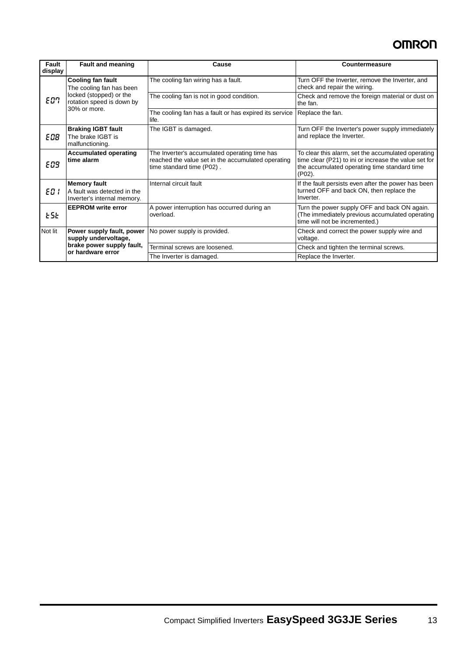| Fault<br>display | <b>Fault and meaning</b>                                                                                                     | Cause                                                                                                                            | Countermeasure                                                                                                                                                           |
|------------------|------------------------------------------------------------------------------------------------------------------------------|----------------------------------------------------------------------------------------------------------------------------------|--------------------------------------------------------------------------------------------------------------------------------------------------------------------------|
| EO7              | <b>Cooling fan fault</b><br>The cooling fan has been<br>locked (stopped) or the<br>rotation speed is down by<br>30% or more. | The cooling fan wiring has a fault.                                                                                              | Turn OFF the Inverter, remove the Inverter, and<br>check and repair the wiring.                                                                                          |
|                  |                                                                                                                              | The cooling fan is not in good condition.                                                                                        | Check and remove the foreign material or dust on<br>the fan.                                                                                                             |
|                  |                                                                                                                              | The cooling fan has a fault or has expired its service<br>life.                                                                  | Replace the fan.                                                                                                                                                         |
| E 08             | <b>Braking IGBT fault</b><br>The brake IGBT is<br>malfunctioning.                                                            | The IGBT is damaged.                                                                                                             | Turn OFF the Inverter's power supply immediately<br>and replace the Inverter.                                                                                            |
| <b>EOS</b>       | <b>Accumulated operating</b><br>time alarm                                                                                   | The Inverter's accumulated operating time has<br>reached the value set in the accumulated operating<br>time standard time (P02). | To clear this alarm, set the accumulated operating<br>time clear (P21) to ini or increase the value set for<br>the accumulated operating time standard time<br>$(PO2)$ . |
| E0 I             | <b>Memory fault</b><br>A fault was detected in the<br>Inverter's internal memory.                                            | Internal circuit fault                                                                                                           | If the fault persists even after the power has been<br>turned OFF and back ON, then replace the<br>Inverter.                                                             |
| E5E              | <b>EEPROM write error</b>                                                                                                    | A power interruption has occurred during an<br>overload.                                                                         | Turn the power supply OFF and back ON again.<br>(The immediately previous accumulated operating<br>time will not be incremented.)                                        |
| Not lit          | Power supply fault, power<br>supply undervoltage,<br>brake power supply fault,<br>or hardware error                          | No power supply is provided.                                                                                                     | Check and correct the power supply wire and<br>voltage.                                                                                                                  |
|                  |                                                                                                                              | Terminal screws are loosened.                                                                                                    | Check and tighten the terminal screws.                                                                                                                                   |
|                  |                                                                                                                              | The Inverter is damaged.                                                                                                         | Replace the Inverter.                                                                                                                                                    |